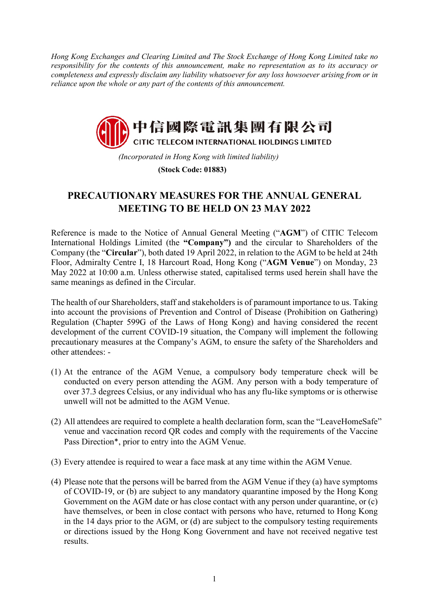*Hong Kong Exchanges and Clearing Limited and The Stock Exchange of Hong Kong Limited take no responsibility for the contents of this announcement, make no representation as to its accuracy or completeness and expressly disclaim any liability whatsoever for any loss howsoever arising from or in reliance upon the whole or any part of the contents of this announcement.* 



*(Incorporated in Hong Kong with limited liability)*  **(Stock Code: 01883)**

## **PRECAUTIONARY MEASURES FOR THE ANNUAL GENERAL MEETING TO BE HELD ON 23 MAY 2022**

Reference is made to the Notice of Annual General Meeting ("**AGM**") of CITIC Telecom International Holdings Limited (the **"Company")** and the circular to Shareholders of the Company (the "**Circular**"), both dated 19 April 2022, in relation to the AGM to be held at 24th Floor, Admiralty Centre I, 18 Harcourt Road, Hong Kong ("**AGM Venue**") on Monday, 23 May 2022 at 10:00 a.m. Unless otherwise stated, capitalised terms used herein shall have the same meanings as defined in the Circular.

The health of our Shareholders, staff and stakeholders is of paramount importance to us. Taking into account the provisions of Prevention and Control of Disease (Prohibition on Gathering) Regulation (Chapter 599G of the Laws of Hong Kong) and having considered the recent development of the current COVID-19 situation, the Company will implement the following precautionary measures at the Company's AGM, to ensure the safety of the Shareholders and other attendees: -

- (1) At the entrance of the AGM Venue, a compulsory body temperature check will be conducted on every person attending the AGM. Any person with a body temperature of over 37.3 degrees Celsius, or any individual who has any flu-like symptoms or is otherwise unwell will not be admitted to the AGM Venue.
- (2) All attendees are required to complete a health declaration form, scan the "LeaveHomeSafe" venue and vaccination record QR codes and comply with the requirements of the Vaccine Pass Direction\*, prior to entry into the AGM Venue.
- (3) Every attendee is required to wear a face mask at any time within the AGM Venue.
- (4) Please note that the persons will be barred from the AGM Venue if they (a) have symptoms of COVID-19, or (b) are subject to any mandatory quarantine imposed by the Hong Kong Government on the AGM date or has close contact with any person under quarantine, or (c) have themselves, or been in close contact with persons who have, returned to Hong Kong in the 14 days prior to the AGM, or (d) are subject to the compulsory testing requirements or directions issued by the Hong Kong Government and have not received negative test results.